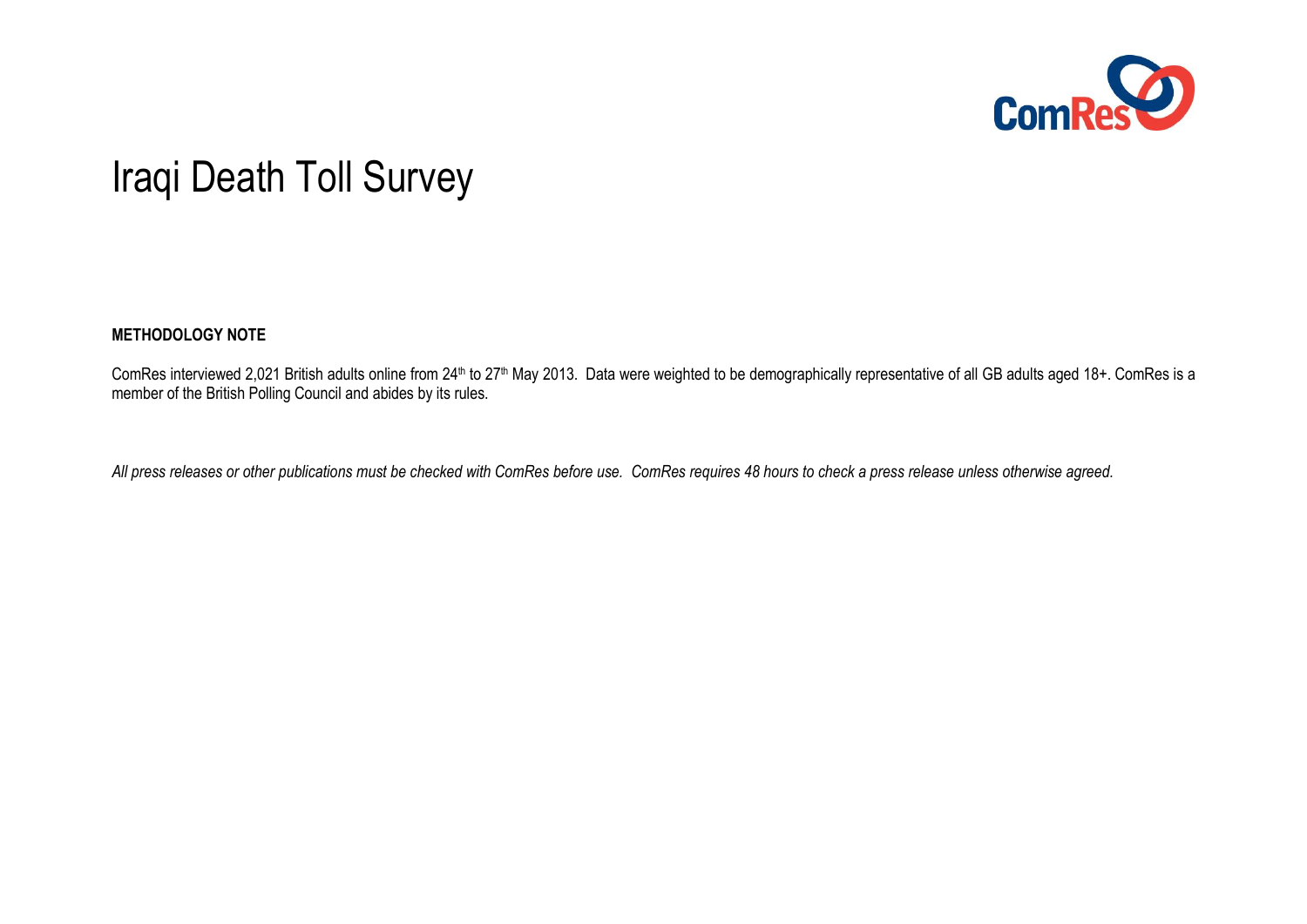

# Iraqi Death Toll Survey

#### **METHODOLOGY NOTE**

ComRes interviewed 2,021 British adults online from 24<sup>th</sup> to 27<sup>th</sup> May 2013. Data were weighted to be demographically representative of all GB adults aged 18+. ComRes is a member of the British Polling Council and abides by its rules.

*All press releases or other publications must be checked with ComRes before use. ComRes requires 48 hours to check a press release unless otherwise agreed.*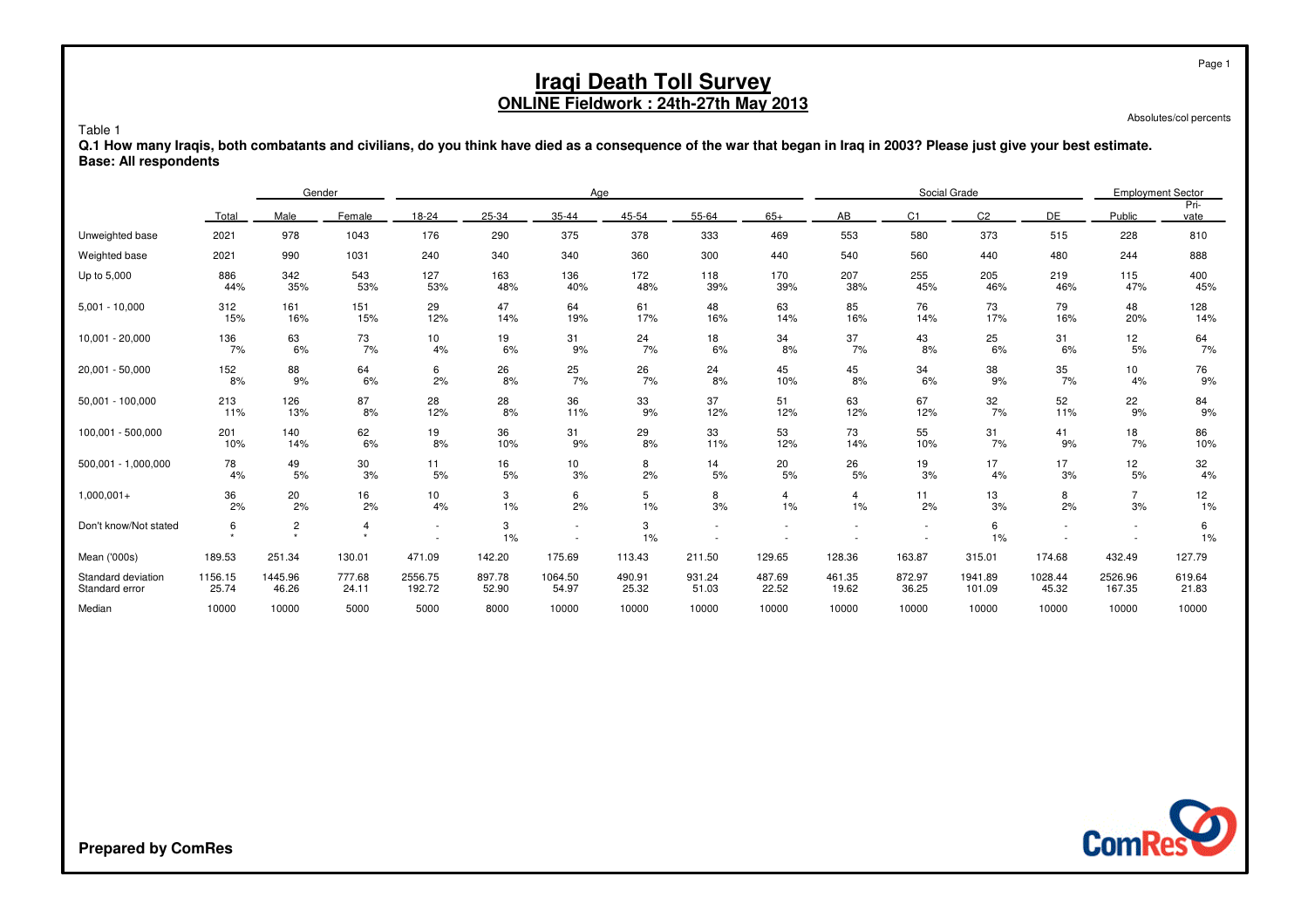Absolutes/col percents

Page 1

Table 1 **Q.1 How many Iraqis, both combatants and civilians, do you think have died as a consequence of the war that began in Iraq in 2003? Please just give your best estimate.Base: All respondents**

|                       |              | Gender                |                           | Age      |          |          |          |          |          | Social Grade |                |                |          | <b>Employment Sector</b> |              |
|-----------------------|--------------|-----------------------|---------------------------|----------|----------|----------|----------|----------|----------|--------------|----------------|----------------|----------|--------------------------|--------------|
|                       | Total        | Male                  | Female                    | 18-24    | 25-34    | 35-44    | 45-54    | 55-64    | $65+$    | AB           | C <sub>1</sub> | C <sub>2</sub> | DE       | Public                   | Pri-<br>vate |
| Unweighted base       | 2021         | 978                   | 1043                      | 176      | 290      | 375      | 378      | 333      | 469      | 553          | 580            | 373            | 515      | 228                      | 810          |
| Weighted base         | 2021         | 990                   | 1031                      | 240      | 340      | 340      | 360      | 300      | 440      | 540          | 560            | 440            | 480      | 244                      | 888          |
| Up to 5,000           | 886          | 342                   | 543                       | 127      | 163      | 136      | 172      | 118      | 170      | 207          | 255            | 205            | 219      | 115                      | 400          |
|                       | 44%          | 35%                   | 53%                       | 53%      | 48%      | 40%      | 48%      | 39%      | 39%      | 38%          | 45%            | 46%            | 46%      | 47%                      | 45%          |
| $5,001 - 10,000$      | 312          | 161                   | 151                       | 29       | 47       | 64       | 61       | 48       | 63       | 85           | 76             | 73             | 79       | 48                       | 128          |
|                       | 15%          | 16%                   | 15%                       | 12%      | 14%      | 19%      | 17%      | 16%      | 14%      | 16%          | 14%            | 17%            | 16%      | 20%                      | 14%          |
| 10,001 - 20,000       | 136<br>7%    | 63<br>6%              | 73<br>7%                  | 10<br>4% | 19<br>6% | 31<br>9% | 24<br>7% | 18<br>6% | 34<br>8% | 37<br>7%     | 43<br>8%       | 25<br>6%       | 31<br>6% | 12<br>5%                 | $64$<br>$7%$ |
| 20,001 - 50,000       | 152          | 88                    | 64                        | 6        | 26       | 25       | 26       | 24       | 45       | 45           | 34             | 38             | 35       | 10                       | 76           |
|                       | 8%           | 9%                    | 6%                        | 2%       | 8%       | 7%       | 7%       | 8%       | 10%      | 8%           | 6%             | 9%             | 7%       | 4%                       | 9%           |
| 50,001 - 100,000      | 213          | 126                   | 87                        | 28       | 28       | 36       | 33       | 37       | 51       | 63           | 67             | 32             | 52       | 22                       | 84           |
|                       | 11%          | 13%                   | 8%                        | 12%      | 8%       | 11%      | 9%       | 12%      | 12%      | 12%          | 12%            | 7%             | 11%      | 9%                       | 9%           |
| 100,001 - 500,000     | 201          | 140                   | 62                        | 19       | 36       | 31       | 29       | 33       | 53       | 73           | 55             | 31             | 41       | 18                       | 86           |
|                       | 10%          | 14%                   | 6%                        | 8%       | 10%      | 9%       | 8%       | 11%      | 12%      | 14%          | 10%            | 7%             | 9%       | 7%                       | 10%          |
| 500,001 - 1,000,000   | 78           | 49                    | 30                        | 11       | 16       | 10       | 8        | 14       | 20       | 26           | 19             | 17             | 17       | 12                       | 32           |
|                       | 4%           | 5%                    | 3%                        | 5%       | 5%       | 3%       | 2%       | 5%       | 5%       | 5%           | 3%             | 4%             | 3%       | 5%                       | 4%           |
| $1,000,001+$          | 36           | 20                    | 16                        | 10       | 3        | 6        | 5        | 8        | 4        | 4            | 11             | 13             | 8        | $\overline{7}$           | 12           |
|                       | 2%           | 2%                    | 2%                        | 4%       | 1%       | 2%       | 1%       | 3%       | 1%       | 1%           | 2%             | 3%             | 2%       | 3%                       | 1%           |
| Don't know/Not stated | 6<br>$\star$ | $\sqrt{2}$<br>$\star$ | $\overline{4}$<br>$\star$ |          | 3<br>1%  | ٠        | 3<br>1%  |          |          |              |                | 6<br>1%        |          | $\sim$                   | 6<br>1%      |
| Mean ('000s)          | 189.53       | 251.34                | 130.01                    | 471.09   | 142.20   | 175.69   | 113.43   | 211.50   | 129.65   | 128.36       | 163.87         | 315.01         | 174.68   | 432.49                   | 127.79       |
| Standard deviation    | 1156.15      | 1445.96               | 777.68                    | 2556.75  | 897.78   | 1064.50  | 490.91   | 931.24   | 487.69   | 461.35       | 872.97         | 1941.89        | 1028.44  | 2526.96                  | 619.64       |
| Standard error        | 25.74        | 46.26                 | 24.11                     | 192.72   | 52.90    | 54.97    | 25.32    | 51.03    | 22.52    | 19.62        | 36.25          | 101.09         | 45.32    | 167.35                   | 21.83        |
| Median                | 10000        | 10000                 | 5000                      | 5000     | 8000     | 10000    | 10000    | 10000    | 10000    | 10000        | 10000          | 10000          | 10000    | 10000                    | 10000        |



**Prepared by ComRes**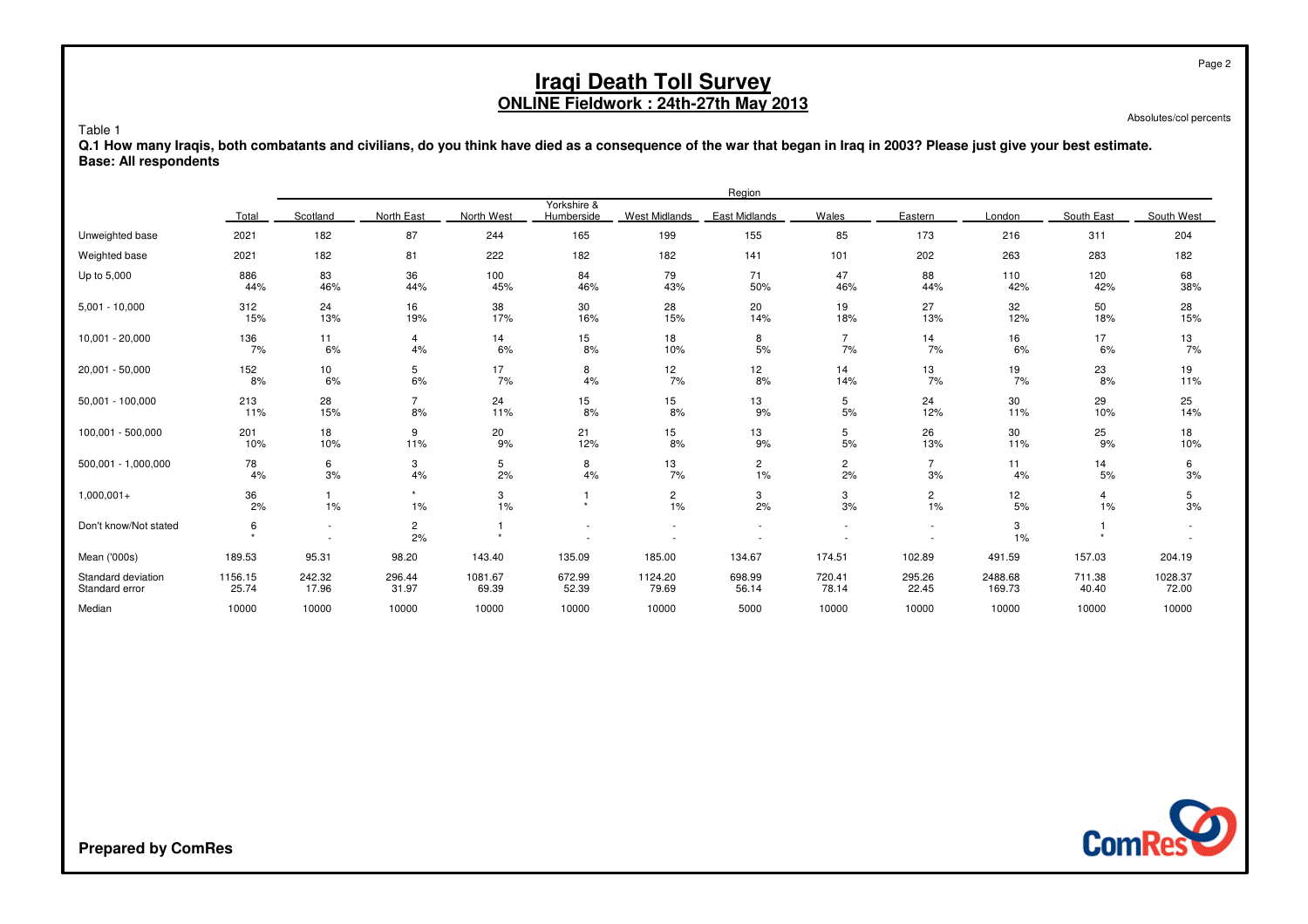Absolutes/col percents

Page 2

 **Q.1 How many Iraqis, both combatants and civilians, do you think have died as a consequence of the war that began in Iraq in 2003? Please just give your best estimate.Base: All respondents**

|                                      | Region           |                               |                      |                  |                           |                       |                    |                          |                          |                   |                 |                  |
|--------------------------------------|------------------|-------------------------------|----------------------|------------------|---------------------------|-----------------------|--------------------|--------------------------|--------------------------|-------------------|-----------------|------------------|
|                                      | Total            | Scotland                      | North East           | North West       | Yorkshire &<br>Humberside | <b>West Midlands</b>  | East Midlands      | Wales                    | Eastern                  | London            | South East      | South West       |
| Unweighted base                      | 2021             | 182                           | 87                   | 244              | 165                       | 199                   | 155                | 85                       | 173                      | 216               | 311             | 204              |
| Weighted base                        | 2021             | 182                           | 81                   | 222              | 182                       | 182                   | 141                | 101                      | 202                      | 263               | 283             | 182              |
| Up to 5,000                          | 886<br>44%       | 83<br>46%                     | 36<br>44%            | 100<br>45%       | 84<br>46%                 | 79<br>43%             | 71<br>50%          | 47<br>46%                | 88<br>44%                | 110<br>42%        | 120<br>42%      | 68<br>38%        |
| $5,001 - 10,000$                     | 312<br>15%       | 24<br>13%                     | 16<br>19%            | 38<br>17%        | 30<br>16%                 | 28<br>15%             | 20<br>14%          | 19<br>18%                | 27<br>13%                | 32<br>12%         | 50<br>18%       | 28<br>15%        |
| 10,001 - 20,000                      | 136<br>7%        | 11<br>6%                      | $\overline{4}$<br>4% | 14<br>6%         | 15<br>8%                  | 18<br>10%             | 8<br>5%            | $\overline{7}$<br>7%     | 14<br>7%                 | 16<br>6%          | 17<br>6%        | 13<br>7%         |
| 20,001 - 50,000                      | 152<br>8%        | 10<br>6%                      | 5<br>6%              | 17<br>7%         | 8<br>4%                   | 12 <sub>2</sub><br>7% | 12<br>8%           | 14<br>14%                | 13<br>7%                 | 19<br>7%          | 23<br>8%        | 19<br>11%        |
| 50,001 - 100,000                     | 213<br>11%       | 28<br>15%                     | 7<br>8%              | 24<br>11%        | 15<br>8%                  | 15<br>8%              | 13<br>9%           | 5<br>5%                  | 24<br>12%                | 30<br>11%         | 29<br>10%       | 25<br>14%        |
| 100,001 - 500,000                    | 201<br>10%       | 18<br>10%                     | 9<br>11%             | 20<br>9%         | 21<br>12%                 | 15<br>8%              | 13<br>9%           | 5<br>5%                  | 26<br>13%                | 30<br>11%         | 25<br>9%        | 18<br>10%        |
| 500,001 - 1,000,000                  | 78<br>4%         | 6<br>3%                       | 3<br>4%              | 5<br>2%          | 8<br>4%                   | 13<br>7%              | $\mathbf{2}$<br>1% | 2<br>2%                  | $\overline{7}$<br>3%     | 11<br>4%          | 14<br>5%        | 6<br>3%          |
| $1,000,001+$                         | 36<br>2%         | $\mathbf{1}$<br>1%            | 1%                   | 3<br>1%          |                           | $\overline{2}$<br>1%  | 3<br>2%            | 3<br>3%                  | $\overline{2}$<br>1%     | 12<br>$5%$        | 4<br>1%         | 5<br>3%          |
| Don't know/Not stated                | 6                | $\overline{\phantom{a}}$<br>٠ | $\overline{c}$<br>2% |                  |                           | $\sim$                | ٠                  | $\overline{\phantom{a}}$ | $\overline{\phantom{a}}$ | 3<br>1%           |                 |                  |
| Mean ('000s)                         | 189.53           | 95.31                         | 98.20                | 143.40           | 135.09                    | 185.00                | 134.67             | 174.51                   | 102.89                   | 491.59            | 157.03          | 204.19           |
| Standard deviation<br>Standard error | 1156.15<br>25.74 | 242.32<br>17.96               | 296.44<br>31.97      | 1081.67<br>69.39 | 672.99<br>52.39           | 1124.20<br>79.69      | 698.99<br>56.14    | 720.41<br>78.14          | 295.26<br>22.45          | 2488.68<br>169.73 | 711.38<br>40.40 | 1028.37<br>72.00 |
| Median                               | 10000            | 10000                         | 10000                | 10000            | 10000                     | 10000                 | 5000               | 10000                    | 10000                    | 10000             | 10000           | 10000            |



**Prepared by ComRes**

Table 1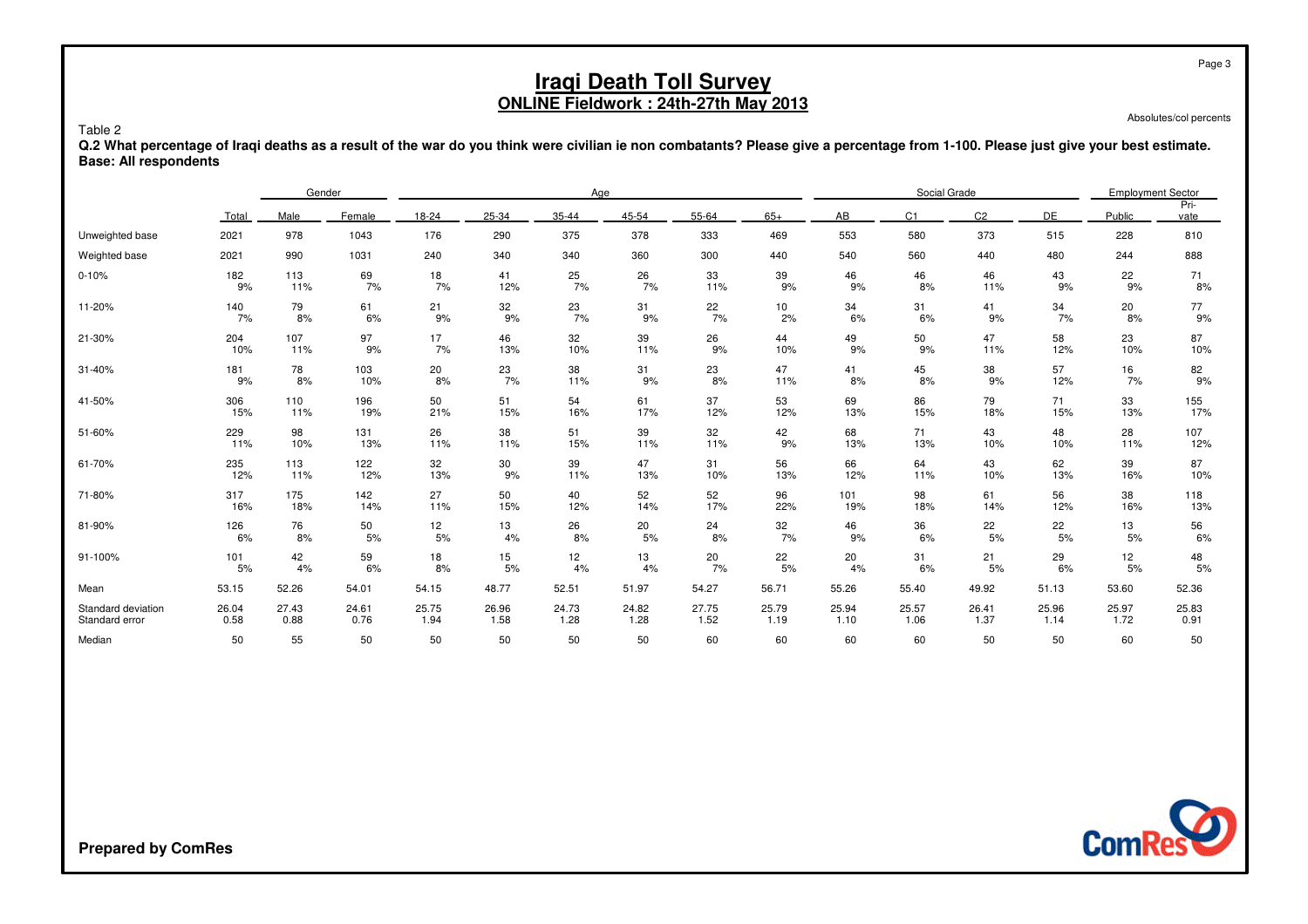Absolutes/col percents

Page 3

 **Q.2 What percentage of Iraqi deaths as a result of the war do you think were civilian ie non combatants? Please give a percentage from 1-100. Please just give your best estimate.Base: All respondents**

|                    |            | Gender    |            |           | Age       |                 |           |           |           |           | Social Grade   |                |           |           | <b>Employment Sector</b> |  |
|--------------------|------------|-----------|------------|-----------|-----------|-----------------|-----------|-----------|-----------|-----------|----------------|----------------|-----------|-----------|--------------------------|--|
|                    | Total      | Male      | Female     | 18-24     | 25-34     | 35-44           | 45-54     | 55-64     | $65+$     | AB        | C <sub>1</sub> | C <sub>2</sub> | DE        | Public    | Pri-<br>vate             |  |
| Unweighted base    | 2021       | 978       | 1043       | 176       | 290       | 375             | 378       | 333       | 469       | 553       | 580            | 373            | 515       | 228       | 810                      |  |
| Weighted base      | 2021       | 990       | 1031       | 240       | 340       | 340             | 360       | 300       | 440       | 540       | 560            | 440            | 480       | 244       | 888                      |  |
| $0 - 10%$          | 182        | 113       | 69         | 18        | 41        | 25              | 26        | 33        | 39        | 46        | 46             | 46             | 43        | 22        | 71                       |  |
|                    | 9%         | 11%       | 7%         | 7%        | 12%       | 7%              | 7%        | 11%       | 9%        | 9%        | 8%             | 11%            | 9%        | 9%        | 8%                       |  |
| 11-20%             | 140        | 79        | 61         | 21        | 32        | 23              | 31        | 22        | 10        | 34        | 31             | 41             | 34        | 20        | 77                       |  |
|                    | 7%         | 8%        | 6%         | 9%        | 9%        | 7%              | 9%        | 7%        | 2%        | 6%        | 6%             | 9%             | 7%        | 8%        | 9%                       |  |
| 21-30%             | 204        | 107       | 97         | 17        | 46        | 32              | 39        | 26        | 44        | 49        | 50             | 47             | 58        | 23        | 87                       |  |
|                    | 10%        | 11%       | 9%         | 7%        | 13%       | 10%             | 11%       | 9%        | 10%       | 9%        | 9%             | 11%            | 12%       | 10%       | 10%                      |  |
| 31-40%             | 181<br>9%  | 78<br>8%  | 103<br>10% | 20<br>8%  | 23<br>7%  | 38<br>11%       | 31<br>9%  | 23<br>8%  | 47<br>11% | 41<br>8%  | 45<br>8%       | 38<br>9%       | 57<br>12% | 16<br>7%  | 82<br>9%                 |  |
| 41-50%             | 306        | 110       | 196        | 50        | 51        | 54              | 61        | 37        | 53        | 69        | 86             | 79             | 71        | 33        | 155                      |  |
|                    | 15%        | 11%       | 19%        | 21%       | 15%       | 16%             | 17%       | 12%       | 12%       | 13%       | 15%            | 18%            | 15%       | 13%       | 17%                      |  |
| 51-60%             | 229<br>11% | 98<br>10% | 131<br>13% | 26<br>11% | 38<br>11% | 51<br>15%       | 39<br>11% | 32<br>11% | 42<br>9%  | 68<br>13% | 71<br>13%      | 43<br>10%      | 48<br>10% | 28<br>11% | 107<br>12%               |  |
| 61-70%             | 235        | 113       | 122        | 32        | 30        | 39              | 47        | 31        | 56        | 66        | 64             | 43             | 62        | 39        | 87                       |  |
|                    | 12%        | 11%       | 12%        | 13%       | 9%        | 11%             | 13%       | 10%       | 13%       | 12%       | 11%            | 10%            | 13%       | 16%       | 10%                      |  |
| 71-80%             | 317        | 175       | 142        | 27        | 50        | 40              | 52        | 52        | 96        | 101       | 98             | 61             | 56        | 38        | 118                      |  |
|                    | 16%        | 18%       | 14%        | 11%       | 15%       | 12%             | 14%       | 17%       | 22%       | 19%       | 18%            | 14%            | 12%       | 16%       | 13%                      |  |
| 81-90%             | 126        | 76        | 50         | 12        | 13        | 26              | 20        | 24        | 32        | 46        | 36             | 22             | 22        | 13        | 56                       |  |
|                    | 6%         | 8%        | 5%         | 5%        | 4%        | 8%              | 5%        | 8%        | 7%        | 9%        | 6%             | 5%             | 5%        | 5%        | 6%                       |  |
| 91-100%            | 101        | 42        | 59         | 18        | 15        | 12 <sub>2</sub> | 13        | 20        | 22        | 20        | 31             | 21             | 29        | 12        | 48                       |  |
|                    | 5%         | 4%        | 6%         | 8%        | 5%        | 4%              | 4%        | 7%        | 5%        | 4%        | 6%             | 5%             | 6%        | 5%        | 5%                       |  |
| Mean               | 53.15      | 52.26     | 54.01      | 54.15     | 48.77     | 52.51           | 51.97     | 54.27     | 56.71     | 55.26     | 55.40          | 49.92          | 51.13     | 53.60     | 52.36                    |  |
| Standard deviation | 26.04      | 27.43     | 24.61      | 25.75     | 26.96     | 24.73           | 24.82     | 27.75     | 25.79     | 25.94     | 25.57          | 26.41          | 25.96     | 25.97     | 25.83                    |  |
| Standard error     | 0.58       | 0.88      | 0.76       | 1.94      | 1.58      | 1.28            | 1.28      | 1.52      | 1.19      | 1.10      | 1.06           | 1.37           | 1.14      | 1.72      | 0.91                     |  |
| Median             | 50         | 55        | 50         | 50        | 50        | 50              | 50        | 60        | 60        | 60        | 60             | 50             | 50        | 60        | 50                       |  |



Table 2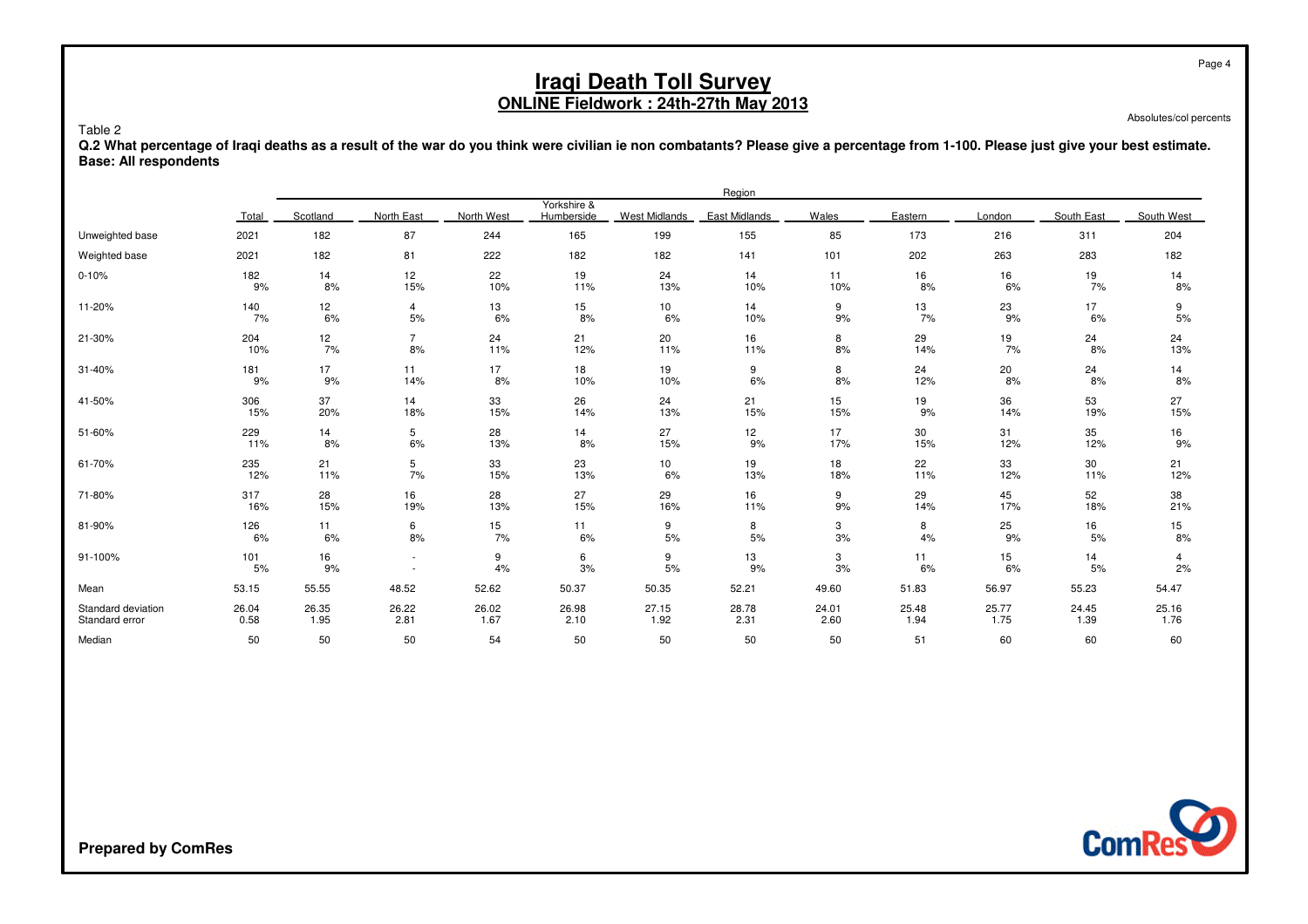Absolutes/col percents

Page 4

 **Q.2 What percentage of Iraqi deaths as a result of the war do you think were civilian ie non combatants? Please give a percentage from 1-100. Please just give your best estimate.Base: All respondents**

|                    |           | Region   |                |            |                           |                      |               |         |          |          |            |            |
|--------------------|-----------|----------|----------------|------------|---------------------------|----------------------|---------------|---------|----------|----------|------------|------------|
|                    | Total     | Scotland | North East     | North West | Yorkshire &<br>Humberside | <b>West Midlands</b> | East Midlands | Wales   | Eastern  | London   | South East | South West |
| Unweighted base    | 2021      | 182      | 87             | 244        | 165                       | 199                  | 155           | 85      | 173      | 216      | 311        | 204        |
| Weighted base      | 2021      | 182      | 81             | 222        | 182                       | 182                  | 141           | 101     | 202      | 263      | 283        | 182        |
| $0 - 10%$          | 182       | 14       | 12             | 22         | 19                        | 24                   | 14            | 11      | 16       | 16       | 19         | 14         |
|                    | 9%        | 8%       | 15%            | 10%        | 11%                       | 13%                  | 10%           | 10%     | 8%       | 6%       | 7%         | 8%         |
| 11-20%             | 140       | 12       | 4              | 13         | 15                        | 10                   | 14            | 9       | 13       | 23       | 17         | 9          |
|                    | 7%        | 6%       | 5%             | 6%         | 8%                        | 6%                   | 10%           | 9%      | 7%       | 9%       | 6%         | 5%         |
| 21-30%             | 204       | 12       | $\overline{7}$ | 24         | 21                        | 20                   | 16            | 8       | 29       | 19       | 24         | 24         |
|                    | 10%       | 7%       | 8%             | 11%        | 12%                       | 11%                  | 11%           | 8%      | 14%      | 7%       | 8%         | 13%        |
| 31-40%             | 181       | 17       | 11             | 17         | 18                        | 19                   | 9             | 8       | 24       | 20       | 24         | 14         |
|                    | 9%        | 9%       | 14%            | 8%         | 10%                       | 10%                  | 6%            | 8%      | 12%      | 8%       | 8%         | 8%         |
| 41-50%             | 306       | 37       | 14             | 33         | 26                        | 24                   | 21            | 15      | 19       | 36       | 53         | 27         |
|                    | 15%       | 20%      | 18%            | 15%        | 14%                       | 13%                  | 15%           | 15%     | 9%       | 14%      | 19%        | 15%        |
| 51-60%             | 229       | 14       | 5              | 28         | 14                        | 27                   | 12            | 17      | 30       | 31       | 35         | 16         |
|                    | 11%       | 8%       | 6%             | 13%        | 8%                        | 15%                  | 9%            | 17%     | 15%      | 12%      | 12%        | 9%         |
| 61-70%             | 235       | 21       | 5              | 33         | 23                        | 10                   | 19            | 18      | 22       | 33       | 30         | 21         |
|                    | 12%       | 11%      | 7%             | 15%        | 13%                       | 6%                   | 13%           | 18%     | 11%      | 12%      | 11%        | 12%        |
| 71-80%             | 317       | 28       | 16             | 28         | 27                        | 29                   | 16            | 9       | 29       | 45       | 52         | 38         |
|                    | 16%       | 15%      | 19%            | 13%        | 15%                       | 16%                  | 11%           | 9%      | 14%      | 17%      | 18%        | 21%        |
| 81-90%             | 126       | 11       | 6              | 15         | 11                        | 9                    | 8             | 3       | 8        | 25       | 16         | 15         |
|                    | 6%        | 6%       | 8%             | 7%         | 6%                        | 5%                   | 5%            | 3%      | 4%       | 9%       | 5%         | 8%         |
| 91-100%            | 101<br>5% | 16<br>9% |                | 9<br>4%    | 6<br>3%                   | 9<br>5%              | 13<br>9%      | 3<br>3% | 11<br>6% | 15<br>6% | 14<br>5%   | 4<br>2%    |
| Mean               | 53.15     | 55.55    | 48.52          | 52.62      | 50.37                     | 50.35                | 52.21         | 49.60   | 51.83    | 56.97    | 55.23      | 54.47      |
| Standard deviation | 26.04     | 26.35    | 26.22          | 26.02      | 26.98                     | 27.15                | 28.78         | 24.01   | 25.48    | 25.77    | 24.45      | 25.16      |
| Standard error     | 0.58      | 1.95     | 2.81           | 1.67       | 2.10                      | 1.92                 | 2.31          | 2.60    | 1.94     | 1.75     | 1.39       | 1.76       |
| Median             | 50        | 50       | 50             | 54         | 50                        | 50                   | 50            | 50      | 51       | 60       | 60         | 60         |



**Prepared by ComRes**

Table 2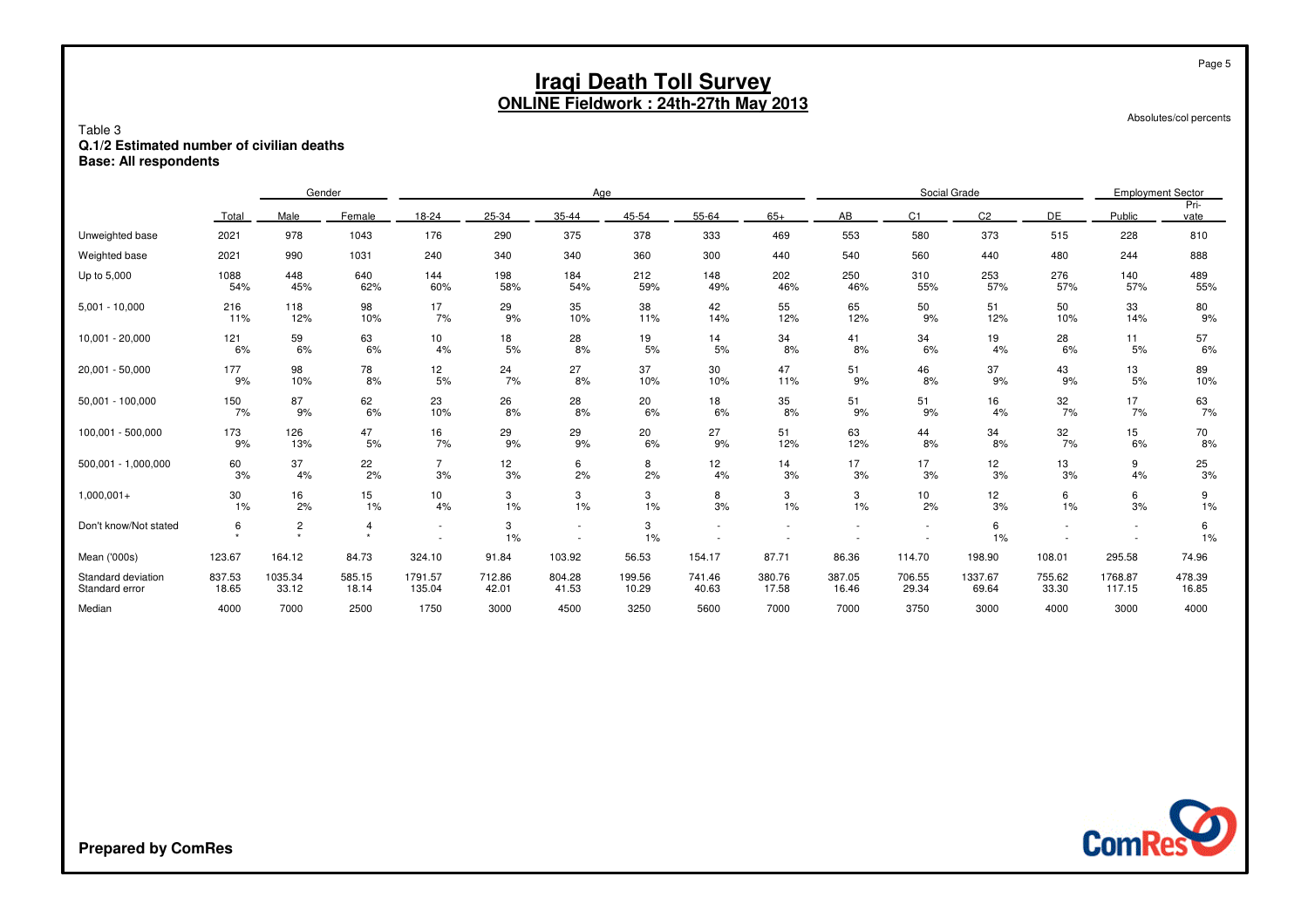Absolutes/col percents

Page 5

#### Table 3 **Q.1/2 Estimated number of civilian deathsBase: All respondents**

|                                      |                 | Gender           |                 |                       | Age             |                 |                 |                 |                 |                 | Social Grade    |                  |                 |                          | <b>Employment Sector</b> |  |
|--------------------------------------|-----------------|------------------|-----------------|-----------------------|-----------------|-----------------|-----------------|-----------------|-----------------|-----------------|-----------------|------------------|-----------------|--------------------------|--------------------------|--|
|                                      | Total           | Male             | Female          | 18-24                 | 25-34           | 35-44           | 45-54           | 55-64           | $65+$           | AB              | C <sub>1</sub>  | C <sub>2</sub>   | DE              | Public                   | Pri-<br>vate             |  |
| Unweighted base                      | 2021            | 978              | 1043            | 176                   | 290             | 375             | 378             | 333             | 469             | 553             | 580             | 373              | 515             | 228                      | 810                      |  |
| Weighted base                        | 2021            | 990              | 1031            | 240                   | 340             | 340             | 360             | 300             | 440             | 540             | 560             | 440              | 480             | 244                      | 888                      |  |
| Up to 5,000                          | 1088<br>54%     | 448<br>45%       | 640<br>62%      | 144<br>60%            | 198<br>58%      | 184<br>54%      | 212<br>59%      | 148<br>49%      | 202<br>46%      | 250<br>46%      | 310<br>55%      | 253<br>57%       | 276<br>57%      | 140<br>57%               | 489<br>55%               |  |
| $5,001 - 10,000$                     | 216<br>11%      | 118<br>12%       | 98<br>10%       | 17<br>7%              | 29<br>9%        | 35<br>10%       | 38<br>11%       | 42<br>14%       | 55<br>12%       | 65<br>12%       | 50<br>9%        | 51<br>12%        | 50<br>10%       | 33<br>14%                | 80<br>9%                 |  |
| $10,001 - 20,000$                    | 121<br>6%       | 59<br>6%         | 63<br>6%        | 10<br>4%              | 18<br>5%        | 28<br>8%        | 19<br>5%        | 14<br>5%        | 34<br>8%        | 41<br>8%        | 34<br>6%        | 19<br>4%         | 28<br>6%        | 11<br>5%                 | $\frac{57}{6\%}$         |  |
| 20,001 - 50,000                      | 177<br>9%       | 98<br>10%        | 78<br>8%        | 12<br>5%              | 24<br>7%        | 27<br>8%        | 37<br>10%       | 30<br>10%       | 47<br>11%       | 51<br>9%        | 46<br>8%        | 37<br>9%         | 43<br>9%        | 13<br>5%                 | 89<br>10%                |  |
| $50,001 - 100,000$                   | 150<br>7%       | 87<br>9%         | 62<br>6%        | 23<br>10%             | 26<br>8%        | 28<br>8%        | 20<br>6%        | 18<br>6%        | 35<br>8%        | 51<br>9%        | 51<br>9%        | 16<br>4%         | 32<br>7%        | 17<br>7%                 | 63<br>7%                 |  |
| 100,001 - 500,000                    | 173<br>9%       | 126<br>13%       | 47<br>5%        | 16<br>7%              | 29<br>9%        | 29<br>9%        | 20<br>6%        | 27<br>9%        | 51<br>12%       | 63<br>12%       | 44<br>8%        | 34<br>8%         | 32<br>7%        | 15<br>6%                 | 70<br>8%                 |  |
| 500,001 - 1,000,000                  | 60<br>3%        | 37<br>4%         | 22<br>2%        | $\overline{7}$<br>3%  | 12<br>3%        | 6<br>2%         | 8<br>2%         | 12<br>4%        | 14<br>3%        | 17<br>3%        | 17<br>3%        | 12<br>3%         | 13<br>3%        | 9<br>4%                  | $\frac{25}{3\%}$         |  |
| $1,000,001+$                         | 30<br>1%        | 16<br>2%         | 15<br>1%        | 10 <sup>1</sup><br>4% | 3<br>1%         | 3<br>1%         | 3<br>$1\%$      | 8<br>3%         | 3<br>1%         | 3<br>1%         | 10<br>2%        | 12<br>3%         | 6<br>1%         | 6<br>3%                  | 9<br>1%                  |  |
| Don't know/Not stated                | 6               | $\mathbf{2}$     | $\overline{4}$  | $\sim$                | 3<br>1%         | $\sim$          | 3<br>1%         |                 |                 |                 |                 | 6<br>1%          | $\blacksquare$  | $\overline{\phantom{a}}$ | 6<br>1%                  |  |
| Mean ('000s)                         | 123.67          | 164.12           | 84.73           | 324.10                | 91.84           | 103.92          | 56.53           | 154.17          | 87.71           | 86.36           | 114.70          | 198.90           | 108.01          | 295.58                   | 74.96                    |  |
| Standard deviation<br>Standard error | 837.53<br>18.65 | 1035.34<br>33.12 | 585.15<br>18.14 | 1791.57<br>135.04     | 712.86<br>42.01 | 804.28<br>41.53 | 199.56<br>10.29 | 741.46<br>40.63 | 380.76<br>17.58 | 387.05<br>16.46 | 706.55<br>29.34 | 1337.67<br>69.64 | 755.62<br>33.30 | 1768.87<br>117.15        | 478.39<br>16.85          |  |
| Median                               | 4000            | 7000             | 2500            | 1750                  | 3000            | 4500            | 3250            | 5600            | 7000            | 7000            | 3750            | 3000             | 4000            | 3000                     | 4000                     |  |



**Prepared by ComRes**